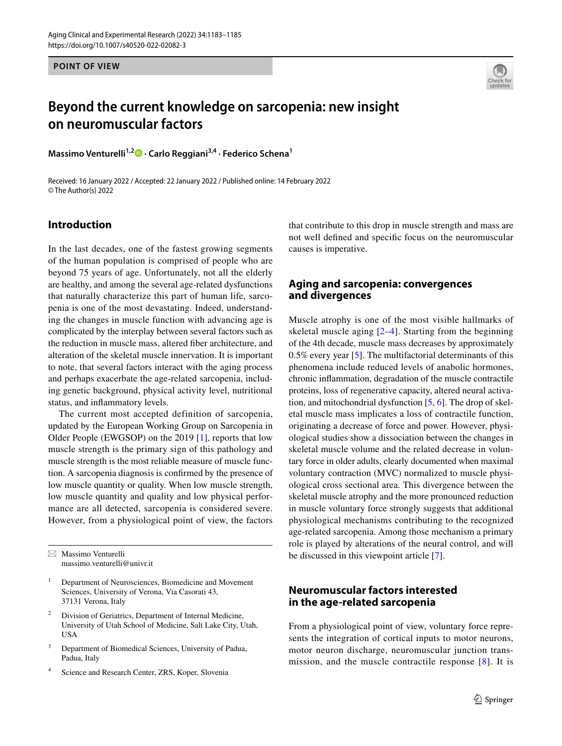**POINT OF VIEW**



# **Beyond the current knowledge on sarcopenia: new insight on neuromuscular factors**

**MassimoVenturelli<sup>1,2</sup> • Carlo Reggiani<sup>3,4</sup> · Federico Schena<sup>1</sup>** 

Received: 16 January 2022 / Accepted: 22 January 2022 / Published online: 14 February 2022 © The Author(s) 2022

## **Introduction**

In the last decades, one of the fastest growing segments of the human population is comprised of people who are beyond 75 years of age. Unfortunately, not all the elderly are healthy, and among the several age-related dysfunctions that naturally characterize this part of human life, sarcopenia is one of the most devastating. Indeed, understanding the changes in muscle function with advancing age is complicated by the interplay between several factors such as the reduction in muscle mass, altered fber architecture, and alteration of the skeletal muscle innervation. It is important to note, that several factors interact with the aging process and perhaps exacerbate the age-related sarcopenia, including genetic background, physical activity level, nutritional status, and infammatory levels.

The current most accepted definition of sarcopenia, updated by the European Working Group on Sarcopenia in Older People (EWGSOP) on the 2019 [[1\]](#page-2-0), reports that low muscle strength is the primary sign of this pathology and muscle strength is the most reliable measure of muscle function. A sarcopenia diagnosis is confrmed by the presence of low muscle quantity or quality. When low muscle strength, low muscle quantity and quality and low physical performance are all detected, sarcopenia is considered severe. However, from a physiological point of view, the factors

 $\boxtimes$  Massimo Venturelli massimo.venturelli@univr.it

- <sup>1</sup> Department of Neurosciences, Biomedicine and Movement Sciences, University of Verona, Via Casorati 43, 37131 Verona, Italy
- <sup>2</sup> Division of Geriatrics, Department of Internal Medicine, University of Utah School of Medicine, Salt Lake City, Utah, USA
- <sup>3</sup> Department of Biomedical Sciences, University of Padua, Padua, Italy
- Science and Research Center, ZRS, Koper, Slovenia

that contribute to this drop in muscle strength and mass are not well defned and specifc focus on the neuromuscular causes is imperative.

#### **Aging and sarcopenia: convergences and divergences**

Muscle atrophy is one of the most visible hallmarks of skeletal muscle aging [[2](#page-2-1)[–4](#page-2-2)]. Starting from the beginning of the 4th decade, muscle mass decreases by approximately 0.5% every year [[5\]](#page-2-3). The multifactorial determinants of this phenomena include reduced levels of anabolic hormones, chronic infammation, degradation of the muscle contractile proteins, loss of regenerative capacity, altered neural activation, and mitochondrial dysfunction [[5,](#page-2-3) [6](#page-2-4)]. The drop of skeletal muscle mass implicates a loss of contractile function, originating a decrease of force and power. However, physiological studies show a dissociation between the changes in skeletal muscle volume and the related decrease in voluntary force in older adults, clearly documented when maximal voluntary contraction (MVC) normalized to muscle physiological cross sectional area. This divergence between the skeletal muscle atrophy and the more pronounced reduction in muscle voluntary force strongly suggests that additional physiological mechanisms contributing to the recognized age-related sarcopenia. Among those mechanism a primary role is played by alterations of the neural control, and will be discussed in this viewpoint article [[7\]](#page-2-5).

## **Neuromuscular factors interested in the age‑related sarcopenia**

From a physiological point of view, voluntary force represents the integration of cortical inputs to motor neurons, motor neuron discharge, neuromuscular junction transmission, and the muscle contractile response [[8](#page-2-6)]. It is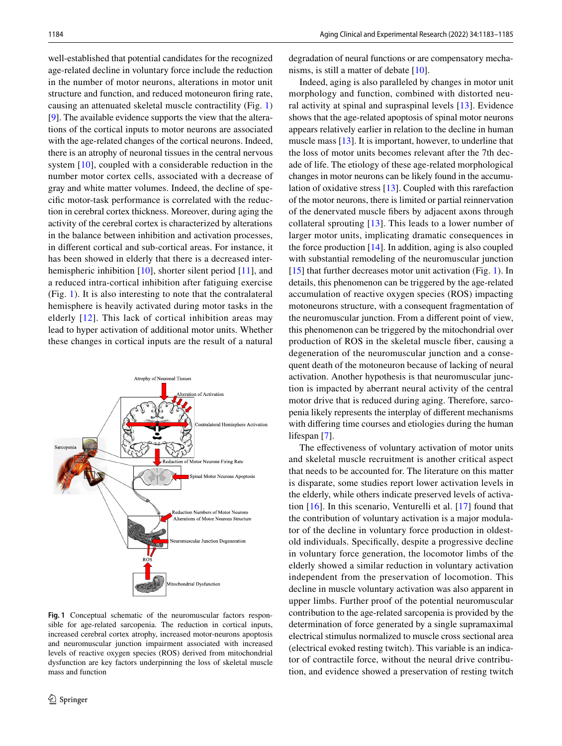well-established that potential candidates for the recognized age-related decline in voluntary force include the reduction in the number of motor neurons, alterations in motor unit structure and function, and reduced motoneuron fring rate, causing an attenuated skeletal muscle contractility (Fig. [1\)](#page-1-0) [\[9](#page-2-7)]. The available evidence supports the view that the alterations of the cortical inputs to motor neurons are associated with the age-related changes of the cortical neurons. Indeed, there is an atrophy of neuronal tissues in the central nervous system [[10\]](#page-2-8), coupled with a considerable reduction in the number motor cortex cells, associated with a decrease of gray and white matter volumes. Indeed, the decline of specifc motor-task performance is correlated with the reduction in cerebral cortex thickness. Moreover, during aging the activity of the cerebral cortex is characterized by alterations in the balance between inhibition and activation processes, in diferent cortical and sub-cortical areas. For instance, it has been showed in elderly that there is a decreased inter-hemispheric inhibition [[10](#page-2-8)], shorter silent period [[11\]](#page-2-9), and a reduced intra-cortical inhibition after fatiguing exercise (Fig. [1\)](#page-1-0). It is also interesting to note that the contralateral hemisphere is heavily activated during motor tasks in the elderly [[12](#page-2-10)]. This lack of cortical inhibition areas may lead to hyper activation of additional motor units. Whether these changes in cortical inputs are the result of a natural



<span id="page-1-0"></span>**Fig. 1** Conceptual schematic of the neuromuscular factors responsible for age-related sarcopenia. The reduction in cortical inputs, increased cerebral cortex atrophy, increased motor-neurons apoptosis and neuromuscular junction impairment associated with increased levels of reactive oxygen species (ROS) derived from mitochondrial dysfunction are key factors underpinning the loss of skeletal muscle mass and function

degradation of neural functions or are compensatory mechanisms, is still a matter of debate [[10\]](#page-2-8).

Indeed, aging is also paralleled by changes in motor unit morphology and function, combined with distorted neural activity at spinal and supraspinal levels [\[13\]](#page-2-11). Evidence shows that the age-related apoptosis of spinal motor neurons appears relatively earlier in relation to the decline in human muscle mass [\[13](#page-2-11)]. It is important, however, to underline that the loss of motor units becomes relevant after the 7th decade of life. The etiology of these age-related morphological changes in motor neurons can be likely found in the accumulation of oxidative stress [\[13](#page-2-11)]. Coupled with this rarefaction of the motor neurons, there is limited or partial reinnervation of the denervated muscle fbers by adjacent axons through collateral sprouting [[13](#page-2-11)]. This leads to a lower number of larger motor units, implicating dramatic consequences in the force production [[14\]](#page-2-12). In addition, aging is also coupled with substantial remodeling of the neuromuscular junction [[15\]](#page-2-13) that further decreases motor unit activation (Fig. [1\)](#page-1-0). In details, this phenomenon can be triggered by the age-related accumulation of reactive oxygen species (ROS) impacting motoneurons structure, with a consequent fragmentation of the neuromuscular junction. From a diferent point of view, this phenomenon can be triggered by the mitochondrial over production of ROS in the skeletal muscle fber, causing a degeneration of the neuromuscular junction and a consequent death of the motoneuron because of lacking of neural activation. Another hypothesis is that neuromuscular junction is impacted by aberrant neural activity of the central motor drive that is reduced during aging. Therefore, sarcopenia likely represents the interplay of diferent mechanisms with difering time courses and etiologies during the human lifespan [[7\]](#page-2-5).

The effectiveness of voluntary activation of motor units and skeletal muscle recruitment is another critical aspect that needs to be accounted for. The literature on this matter is disparate, some studies report lower activation levels in the elderly, while others indicate preserved levels of activation [\[16\]](#page-2-14). In this scenario, Venturelli et al. [[17](#page-2-15)] found that the contribution of voluntary activation is a major modulator of the decline in voluntary force production in oldestold individuals. Specifcally, despite a progressive decline in voluntary force generation, the locomotor limbs of the elderly showed a similar reduction in voluntary activation independent from the preservation of locomotion. This decline in muscle voluntary activation was also apparent in upper limbs. Further proof of the potential neuromuscular contribution to the age-related sarcopenia is provided by the determination of force generated by a single supramaximal electrical stimulus normalized to muscle cross sectional area (electrical evoked resting twitch). This variable is an indicator of contractile force, without the neural drive contribution, and evidence showed a preservation of resting twitch